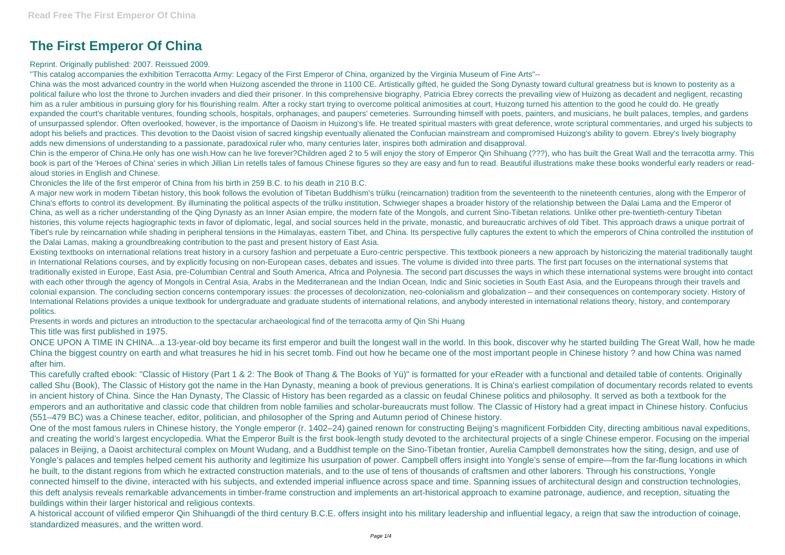## **The First Emperor Of China**

## Reprint. Originally published: 2007. Reissued 2009.

"This catalog accompanies the exhibition Terracotta Army: Legacy of the First Emperor of China, organized by the Virginia Museum of Fine Arts"--

China was the most advanced country in the world when Huizong ascended the throne in 1100 CE. Artistically gifted, he guided the Song Dynasty toward cultural greatness but is known to posterity as a political failure who lost the throne to Jurchen invaders and died their prisoner. In this comprehensive biography, Patricia Ebrey corrects the prevailing view of Huizong as decadent and negligent, recasting him as a ruler ambitious in pursuing glory for his flourishing realm. After a rocky start trying to overcome political animosities at court, Huizong turned his attention to the good he could do. He greatly expanded the court's charitable ventures, founding schools, hospitals, orphanages, and paupers' cemeteries. Surrounding himself with poets, painters, and musicians, he built palaces, temples, and gardens of unsurpassed splendor. Often overlooked, however, is the importance of Daoism in Huizong's life. He treated spiritual masters with great deference, wrote scriptural commentaries, and urged his subjects to adopt his beliefs and practices. This devotion to the Daoist vision of sacred kingship eventually alienated the Confucian mainstream and compromised Huizong's ability to govern. Ebrey's lively biography adds new dimensions of understanding to a passionate, paradoxical ruler who, many centuries later, inspires both admiration and disapproval.

Chin is the emperor of China.He only has one wish.How can he live forever?Children aged 2 to 5 will enjoy the story of Emperor Qin Shihuang (???), who has built the Great Wall and the terracotta army. This book is part of the 'Heroes of China' series in which Jillian Lin retells tales of famous Chinese figures so they are easy and fun to read. Beautiful illustrations make these books wonderful early readers or readaloud stories in English and Chinese.

Chronicles the life of the first emperor of China from his birth in 259 B.C. to his death in 210 B.C.

A major new work in modern Tibetan history, this book follows the evolution of Tibetan Buddhism's trülku (reincarnation) tradition from the seventeenth to the nineteenth centuries, along with the Emperor of China's efforts to control its development. By illuminating the political aspects of the trülku institution, Schwieger shapes a broader history of the relationship between the Dalai Lama and the Emperor of China, as well as a richer understanding of the Qing Dynasty as an Inner Asian empire, the modern fate of the Mongols, and current Sino-Tibetan relations. Unlike other pre-twentieth-century Tibetan histories, this volume rejects hagiographic texts in favor of diplomatic, legal, and social sources held in the private, monastic, and bureaucratic archives of old Tibet. This approach draws a unique portrait of Tibet's rule by reincarnation while shading in peripheral tensions in the Himalayas, eastern Tibet, and China. Its perspective fully captures the extent to which the emperors of China controlled the institution of the Dalai Lamas, making a groundbreaking contribution to the past and present history of East Asia.

Existing textbooks on international relations treat history in a cursory fashion and perpetuate a Euro-centric perspective. This textbook pioneers a new approach by historicizing the material traditionally taught in International Relations courses, and by explicitly focusing on non-European cases, debates and issues. The volume is divided into three parts. The first part focuses on the international systems that traditionally existed in Europe, East Asia, pre-Columbian Central and South America, Africa and Polynesia. The second part discusses the ways in which these international systems were brought into contact with each other through the agency of Mongols in Central Asia, Arabs in the Mediterranean and the Indian Ocean, Indic and Sinic societies in South East Asia, and the Europeans through their travels and colonial expansion. The concluding section concerns contemporary issues: the processes of decolonization, neo-colonialism and globalization – and their consequences on contemporary society. History of International Relations provides a unique textbook for undergraduate and graduate students of international relations, and anybody interested in international relations theory, history, and contemporary politics.

Presents in words and pictures an introduction to the spectacular archaeological find of the terracotta army of Qin Shi Huang

This title was first published in 1975.

ONCE UPON A TIME IN CHINA...a 13-year-old boy became its first emperor and built the longest wall in the world. In this book, discover why he started building The Great Wall, how he made China the biggest country on earth and what treasures he hid in his secret tomb. Find out how he became one of the most important people in Chinese history ? and how China was named after him.

This carefully crafted ebook: "Classic of History (Part 1 & 2: The Book of Thang & The Books of Yü)" is formatted for your eReader with a functional and detailed table of contents. Originally called Shu (Book), The Classic of History got the name in the Han Dynasty, meaning a book of previous generations. It is China's earliest compilation of documentary records related to events in ancient history of China. Since the Han Dynasty, The Classic of History has been regarded as a classic on feudal Chinese politics and philosophy. It served as both a textbook for the emperors and an authoritative and classic code that children from noble families and scholar-bureaucrats must follow. The Classic of History had a great impact in Chinese history. Confucius (551–479 BC) was a Chinese teacher, editor, politician, and philosopher of the Spring and Autumn period of Chinese history.

One of the most famous rulers in Chinese history, the Yongle emperor (r. 1402–24) gained renown for constructing Beijing's magnificent Forbidden City, directing ambitious naval expeditions, and creating the world's largest encyclopedia. What the Emperor Built is the first book-length study devoted to the architectural projects of a single Chinese emperor. Focusing on the imperial palaces in Beijing, a Daoist architectural complex on Mount Wudang, and a Buddhist temple on the Sino-Tibetan frontier, Aurelia Campbell demonstrates how the siting, design, and use of Yongle's palaces and temples helped cement his authority and legitimize his usurpation of power. Campbell offers insight into Yongle's sense of empire—from the far-flung locations in which he built, to the distant regions from which he extracted construction materials, and to the use of tens of thousands of craftsmen and other laborers. Through his constructions, Yongle connected himself to the divine, interacted with his subjects, and extended imperial influence across space and time. Spanning issues of architectural design and construction technologies, this deft analysis reveals remarkable advancements in timber-frame construction and implements an art-historical approach to examine patronage, audience, and reception, situating the buildings within their larger historical and religious contexts.

A historical account of vilified emperor Qin Shihuangdi of the third century B.C.E. offers insight into his military leadership and influential legacy, a reign that saw the introduction of coinage, standardized measures, and the written word.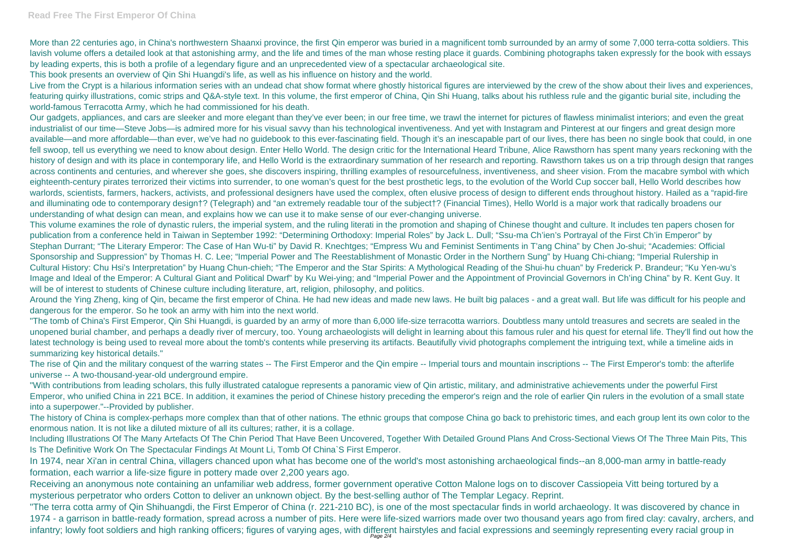More than 22 centuries ago, in China's northwestern Shaanxi province, the first Qin emperor was buried in a magnificent tomb surrounded by an army of some 7,000 terra-cotta soldiers. This lavish volume offers a detailed look at that astonishing army, and the life and times of the man whose resting place it guards. Combining photographs taken expressly for the book with essays by leading experts, this is both a profile of a legendary figure and an unprecedented view of a spectacular archaeological site.

Live from the Crypt is a hilarious information series with an undead chat show format where ghostly historical figures are interviewed by the crew of the show about their lives and experiences, featuring quirky illustrations, comic strips and Q&A-style text. In this volume, the first emperor of China, Qin Shi Huang, talks about his ruthless rule and the gigantic burial site, including the world-famous Terracotta Army, which he had commissioned for his death.

This book presents an overview of Qin Shi Huangdi's life, as well as his influence on history and the world.

This volume examines the role of dynastic rulers, the imperial system, and the ruling literati in the promotion and shaping of Chinese thought and culture. It includes ten papers chosen for publication from a conference held in Taiwan in September 1992: "Determining Orthodoxy: Imperial Roles" by Jack L. Dull; "Ssu-ma Ch'ien's Portrayal of the First Ch'in Emperor" by Stephan Durrant; "The Literary Emperor: The Case of Han Wu-ti" by David R. Knechtges; "Empress Wu and Feminist Sentiments in T'ang China" by Chen Jo-shui; "Academies: Official Sponsorship and Suppression" by Thomas H. C. Lee; "Imperial Power and The Reestablishment of Monastic Order in the Northern Sung" by Huang Chi-chiang; "Imperial Rulership in Cultural History: Chu Hsi's Interpretation" by Huang Chun-chieh; "The Emperor and the Star Spirits: A Mythological Reading of the Shui-hu chuan" by Frederick P. Brandeur; "Ku Yen-wu's Image and Ideal of the Emperor: A Cultural Giant and Political Dwarf" by Ku Wei-ying; and "Imperial Power and the Appointment of Provincial Governors in Ch'ing China" by R. Kent Guy. It will be of interest to students of Chinese culture including literature, art, religion, philosophy, and politics.

Our gadgets, appliances, and cars are sleeker and more elegant than they've ever been; in our free time, we trawl the internet for pictures of flawless minimalist interiors; and even the great industrialist of our time—Steve Jobs—is admired more for his visual savvy than his technological inventiveness. And yet with Instagram and Pinterest at our fingers and great design more available—and more affordable—than ever, we've had no guidebook to this ever-fascinating field. Though it's an inescapable part of our lives, there has been no single book that could, in one fell swoop, tell us everything we need to know about design. Enter Hello World. The design critic for the International Heard Tribune, Alice Rawsthorn has spent many years reckoning with the history of design and with its place in contemporary life, and Hello World is the extraordinary summation of her research and reporting. Rawsthorn takes us on a trip through design that ranges across continents and centuries, and wherever she goes, she discovers inspiring, thrilling examples of resourcefulness, inventiveness, and sheer vision. From the macabre symbol with which eighteenth-century pirates terrorized their victims into surrender, to one woman's quest for the best prosthetic legs, to the evolution of the World Cup soccer ball, Hello World describes how warlords, scientists, farmers, hackers, activists, and professional designers have used the complex, often elusive process of design to different ends throughout history. Hailed as a "rapid-fire and illuminating ode to contemporary design†? (Telegraph) and "an extremely readable tour of the subject†? (Financial Times), Hello World is a major work that radically broadens our understanding of what design can mean, and explains how we can use it to make sense of our ever-changing universe.

The history of China is complex-perhaps more complex than that of other nations. The ethnic groups that compose China go back to prehistoric times, and each group lent its own color to the enormous nation. It is not like a diluted mixture of all its cultures; rather, it is a collage.

Around the Ying Zheng, king of Qin, became the first emperor of China. He had new ideas and made new laws. He built big palaces - and a great wall. But life was difficult for his people and dangerous for the emperor. So he took an army with him into the next world.

"The tomb of China's First Emperor, Qin Shi Huangdi, is guarded by an army of more than 6,000 life-size terracotta warriors. Doubtless many untold treasures and secrets are sealed in the unopened burial chamber, and perhaps a deadly river of mercury, too. Young archaeologists will delight in learning about this famous ruler and his quest for eternal life. They'll find out how the latest technology is being used to reveal more about the tomb's contents while preserving its artifacts. Beautifully vivid photographs complement the intriguing text, while a timeline aids in summarizing key historical details."

The rise of Qin and the military conquest of the warring states -- The First Emperor and the Qin empire -- Imperial tours and mountain inscriptions -- The First Emperor's tomb: the afterlife universe -- A two-thousand-year-old underground empire.

"With contributions from leading scholars, this fully illustrated catalogue represents a panoramic view of Qin artistic, military, and administrative achievements under the powerful First Emperor, who unified China in 221 BCE. In addition, it examines the period of Chinese history preceding the emperor's reign and the role of earlier Qin rulers in the evolution of a small state into a superpower."--Provided by publisher.

Including Illustrations Of The Many Artefacts Of The Chin Period That Have Been Uncovered, Together With Detailed Ground Plans And Cross-Sectional Views Of The Three Main Pits, This Is The Definitive Work On The Spectacular Findings At Mount Li, Tomb Of China`S First Emperor.

In 1974, near Xi'an in central China, villagers chanced upon what has become one of the world's most astonishing archaeological finds--an 8,000-man army in battle-ready formation, each warrior a life-size figure in pottery made over 2,200 years ago.

Receiving an anonymous note containing an unfamiliar web address, former government operative Cotton Malone logs on to discover Cassiopeia Vitt being tortured by a mysterious perpetrator who orders Cotton to deliver an unknown object. By the best-selling author of The Templar Legacy. Reprint.

"The terra cotta army of Qin Shihuangdi, the First Emperor of China (r. 221-210 BC), is one of the most spectacular finds in world archaeology. It was discovered by chance in 1974 - a garrison in battle-ready formation, spread across a number of pits. Here were life-sized warriors made over two thousand years ago from fired clay: cavalry, archers, and infantry; lowly foot soldiers and high ranking officers; figures of varying ages, with different hairstyles and facial expressions and seemingly representing every racial group in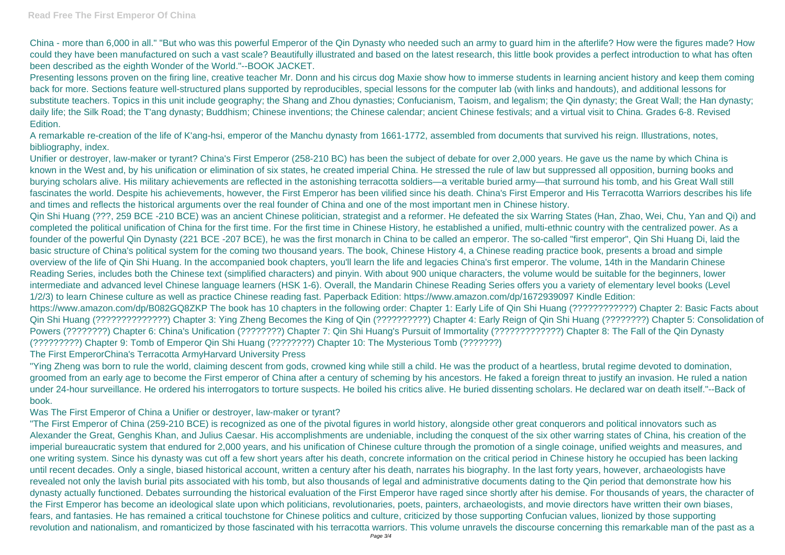China - more than 6,000 in all." "But who was this powerful Emperor of the Qin Dynasty who needed such an army to guard him in the afterlife? How were the figures made? How could they have been manufactured on such a vast scale? Beautifully illustrated and based on the latest research, this little book provides a perfect introduction to what has often been described as the eighth Wonder of the World."--BOOK JACKET.

Presenting lessons proven on the firing line, creative teacher Mr. Donn and his circus dog Maxie show how to immerse students in learning ancient history and keep them coming back for more. Sections feature well-structured plans supported by reproducibles, special lessons for the computer lab (with links and handouts), and additional lessons for substitute teachers. Topics in this unit include geography; the Shang and Zhou dynasties; Confucianism, Taoism, and legalism; the Qin dynasty; the Great Wall; the Han dynasty; daily life; the Silk Road; the T'ang dynasty; Buddhism; Chinese inventions; the Chinese calendar; ancient Chinese festivals; and a virtual visit to China. Grades 6-8. Revised Edition.

A remarkable re-creation of the life of K'ang-hsi, emperor of the Manchu dynasty from 1661-1772, assembled from documents that survived his reign. Illustrations, notes, bibliography, index.

Unifier or destroyer, law-maker or tyrant? China's First Emperor (258-210 BC) has been the subject of debate for over 2,000 years. He gave us the name by which China is known in the West and, by his unification or elimination of six states, he created imperial China. He stressed the rule of law but suppressed all opposition, burning books and burying scholars alive. His military achievements are reflected in the astonishing terracotta soldiers—a veritable buried army—that surround his tomb, and his Great Wall still fascinates the world. Despite his achievements, however, the First Emperor has been vilified since his death. China's First Emperor and His Terracotta Warriors describes his life and times and reflects the historical arguments over the real founder of China and one of the most important men in Chinese history.

Qin Shi Huang (???, 259 BCE -210 BCE) was an ancient Chinese politician, strategist and a reformer. He defeated the six Warring States (Han, Zhao, Wei, Chu, Yan and Qi) and completed the political unification of China for the first time. For the first time in Chinese History, he established a unified, multi-ethnic country with the centralized power. As a founder of the powerful Qin Dynasty (221 BCE -207 BCE), he was the first monarch in China to be called an emperor. The so-called "first emperor", Qin Shi Huang Di, laid the basic structure of China's political system for the coming two thousand years. The book, Chinese History 4, a Chinese reading practice book, presents a broad and simple overview of the life of Qin Shi Huang. In the accompanied book chapters, you'll learn the life and legacies China's first emperor. The volume, 14th in the Mandarin Chinese Reading Series, includes both the Chinese text (simplified characters) and pinyin. With about 900 unique characters, the volume would be suitable for the beginners, lower intermediate and advanced level Chinese language learners (HSK 1-6). Overall, the Mandarin Chinese Reading Series offers you a variety of elementary level books (Level 1/2/3) to learn Chinese culture as well as practice Chinese reading fast. Paperback Edition: https://www.amazon.com/dp/1672939097 Kindle Edition: https://www.amazon.com/dp/B082GQ8ZKP The book has 10 chapters in the following order: Chapter 1: Early Life of Qin Shi Huang (????????????) Chapter 2: Basic Facts about Qin Shi Huang (??????????????) Chapter 3: Ying Zheng Becomes the King of Qin (??????????) Chapter 4: Early Reign of Qin Shi Huang (????????) Chapter 5: Consolidation of Powers (????????) Chapter 6: China's Unification (????????) Chapter 7: Qin Shi Huang's Pursuit of Immortality (?????????????????) Chapter 8: The Fall of the Qin Dynasty (?????????) Chapter 9: Tomb of Emperor Qin Shi Huang (????????) Chapter 10: The Mysterious Tomb (???????) The First EmperorChina's Terracotta ArmyHarvard University Press

"Ying Zheng was born to rule the world, claiming descent from gods, crowned king while still a child. He was the product of a heartless, brutal regime devoted to domination, groomed from an early age to become the First emperor of China after a century of scheming by his ancestors. He faked a foreign threat to justify an invasion. He ruled a nation under 24-hour surveillance. He ordered his interrogators to torture suspects. He boiled his critics alive. He buried dissenting scholars. He declared war on death itself."--Back of book.

Was The First Emperor of China a Unifier or destroyer, law-maker or tyrant?

"The First Emperor of China (259-210 BCE) is recognized as one of the pivotal figures in world history, alongside other great conquerors and political innovators such as Alexander the Great, Genghis Khan, and Julius Caesar. His accomplishments are undeniable, including the conquest of the six other warring states of China, his creation of the imperial bureaucratic system that endured for 2,000 years, and his unification of Chinese culture through the promotion of a single coinage, unified weights and measures, and one writing system. Since his dynasty was cut off a few short years after his death, concrete information on the critical period in Chinese history he occupied has been lacking until recent decades. Only a single, biased historical account, written a century after his death, narrates his biography. In the last forty years, however, archaeologists have revealed not only the lavish burial pits associated with his tomb, but also thousands of legal and administrative documents dating to the Qin period that demonstrate how his dynasty actually functioned. Debates surrounding the historical evaluation of the First Emperor have raged since shortly after his demise. For thousands of years, the character of the First Emperor has become an ideological slate upon which politicians, revolutionaries, poets, painters, archaeologists, and movie directors have written their own biases, fears, and fantasies. He has remained a critical touchstone for Chinese politics and culture, criticized by those supporting Confucian values, lionized by those supporting revolution and nationalism, and romanticized by those fascinated with his terracotta warriors. This volume unravels the discourse concerning this remarkable man of the past as a